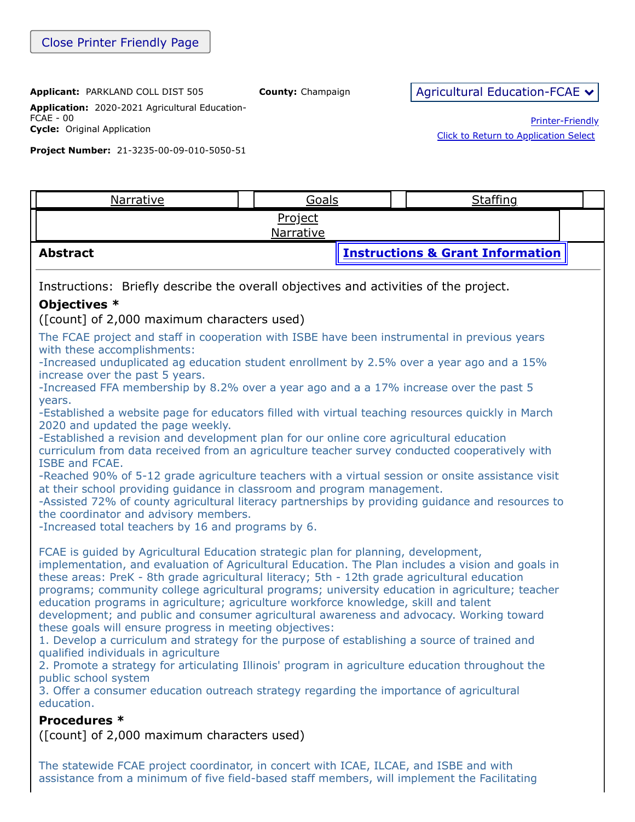**Application:** 2020-2021 Agricultural Education-FCAE - 00 **Cycle:** Original Application

**Project Number:** 21-3235-00-09-010-5050-51

Printer-Friendly [Click to Return to Application Select](https://apps.isbe.net/eGrant_Web/StaticPages/ApplicationSelect.aspx)

Narrative II [Goals](https://apps.isbe.net/eGrant_Web/ApplicationShell.aspx?DisplayName=Goal%20One) II [Staffing](https://apps.isbe.net/eGrant_Web/ApplicationShell.aspx?DisplayName=Staffing) Project [Narrative](https://apps.isbe.net/eGrant_Web/ApplicationShell.aspx?DisplayName=Project%20Narrative) **Abstract [Instructions & Grant Information](ftp://help.isbe.net/webapps/eGMS/2021/AgEdInstructionsFCAE.pdf)** Instructions: Briefly describe the overall objectives and activities of the project. **Objectives \*** ([count] of 2,000 maximum characters used) The FCAE project and staff in cooperation with ISBE have been instrumental in previous years with these accomplishments: -Increased unduplicated ag education student enrollment by 2.5% over a year ago and a 15% increase over the past 5 years. -Increased FFA membership by 8.2% over a year ago and a a 17% increase over the past 5 years. -Established a website page for educators filled with virtual teaching resources quickly in March 2020 and updated the page weekly. -Established a revision and development plan for our online core agricultural education curriculum from data received from an agriculture teacher survey conducted cooperatively with ISBE and FCAE. -Reached 90% of 5-12 grade agriculture teachers with a virtual session or onsite assistance visit at their school providing guidance in classroom and program management. -Assisted 72% of county agricultural literacy partnerships by providing guidance and resources to the coordinator and advisory members. -Increased total teachers by 16 and programs by 6. FCAE is guided by Agricultural Education strategic plan for planning, development, implementation, and evaluation of Agricultural Education. The Plan includes a vision and goals in these areas: PreK - 8th grade agricultural literacy; 5th - 12th grade agricultural education programs; community college agricultural programs; university education in agriculture; teacher education programs in agriculture; agriculture workforce knowledge, skill and talent development; and public and consumer agricultural awareness and advocacy. Working toward these goals will ensure progress in meeting objectives: 1. Develop a curriculum and strategy for the purpose of establishing a source of trained and qualified individuals in agriculture 2. Promote a strategy for articulating Illinois' program in agriculture education throughout the public school system 3. Offer a consumer education outreach strategy regarding the importance of agricultural education. **Procedures \*** ([count] of 2,000 maximum characters used)

The statewide FCAE project coordinator, in concert with ICAE, ILCAE, and ISBE and with assistance from a minimum of five field-based staff members, will implement the Facilitating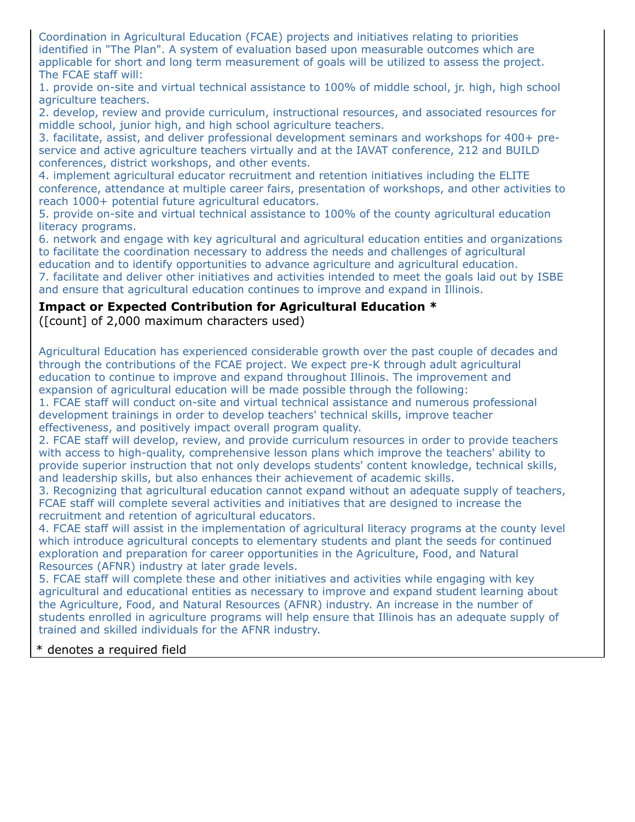Coordination in Agricultural Education (FCAE) projects and initiatives relating to priorities identified in "The Plan". A system of evaluation based upon measurable outcomes which are applicable for short and long term measurement of goals will be utilized to assess the project. The FCAE staff will:

1. provide on-site and virtual technical assistance to 100% of middle school, jr. high, high school agriculture teachers.

2. develop, review and provide curriculum, instructional resources, and associated resources for middle school, junior high, and high school agriculture teachers.

3. facilitate, assist, and deliver professional development seminars and workshops for 400+ preservice and active agriculture teachers virtually and at the IAVAT conference, 212 and BUILD conferences, district workshops, and other events.

4. implement agricultural educator recruitment and retention initiatives including the ELITE conference, attendance at multiple career fairs, presentation of workshops, and other activities to reach 1000+ potential future agricultural educators.

5. provide on-site and virtual technical assistance to 100% of the county agricultural education literacy programs.

6. network and engage with key agricultural and agricultural education entities and organizations to facilitate the coordination necessary to address the needs and challenges of agricultural education and to identify opportunities to advance agriculture and agricultural education. 7. facilitate and deliver other initiatives and activities intended to meet the goals laid out by ISBE and ensure that agricultural education continues to improve and expand in Illinois.

### **Impact or Expected Contribution for Agricultural Education \***

([count] of 2,000 maximum characters used)

Agricultural Education has experienced considerable growth over the past couple of decades and through the contributions of the FCAE project. We expect pre-K through adult agricultural education to continue to improve and expand throughout Illinois. The improvement and expansion of agricultural education will be made possible through the following:

1. FCAE staff will conduct on-site and virtual technical assistance and numerous professional development trainings in order to develop teachers' technical skills, improve teacher effectiveness, and positively impact overall program quality.

2. FCAE staff will develop, review, and provide curriculum resources in order to provide teachers with access to high-quality, comprehensive lesson plans which improve the teachers' ability to provide superior instruction that not only develops students' content knowledge, technical skills, and leadership skills, but also enhances their achievement of academic skills.

3. Recognizing that agricultural education cannot expand without an adequate supply of teachers, FCAE staff will complete several activities and initiatives that are designed to increase the recruitment and retention of agricultural educators.

4. FCAE staff will assist in the implementation of agricultural literacy programs at the county level which introduce agricultural concepts to elementary students and plant the seeds for continued exploration and preparation for career opportunities in the Agriculture, Food, and Natural Resources (AFNR) industry at later grade levels.

5. FCAE staff will complete these and other initiatives and activities while engaging with key agricultural and educational entities as necessary to improve and expand student learning about the Agriculture, Food, and Natural Resources (AFNR) industry. An increase in the number of students enrolled in agriculture programs will help ensure that Illinois has an adequate supply of trained and skilled individuals for the AFNR industry.

#### \* denotes a required field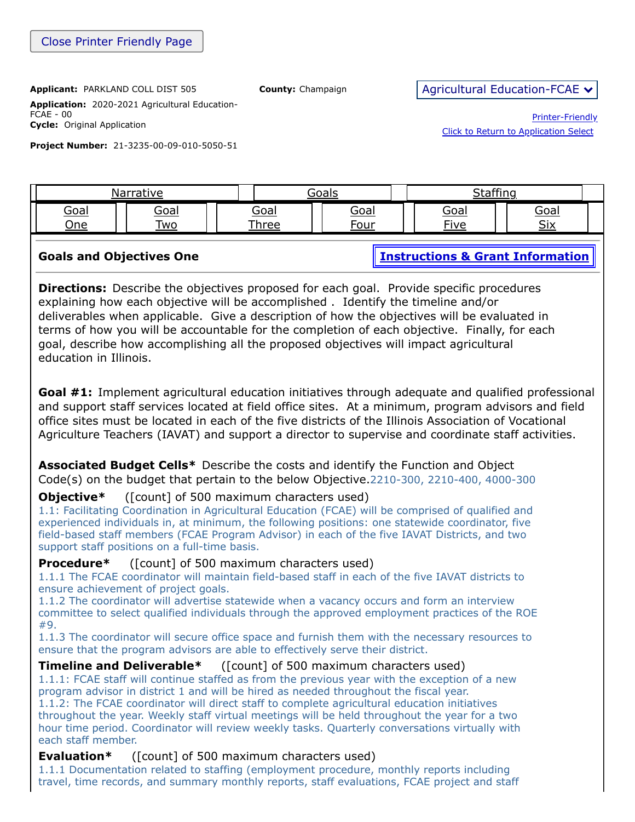**Application:** 2020-2021 Agricultural Education-FCAE - 00 **Cycle:** Original Application

**Project Number:** 21-3235-00-09-010-5050-51

Printer-Friendly [Click to Return to Application Select](https://apps.isbe.net/eGrant_Web/StaticPages/ApplicationSelect.aspx)

[Goal](https://apps.isbe.net/eGrant_Web/ApplicationShell.aspx?DisplayName=Goal%20One) One [Goal](https://apps.isbe.net/eGrant_Web/ApplicationShell.aspx?DisplayName=Goal%20Two) Two Goal [Three](https://apps.isbe.net/eGrant_Web/ApplicationShell.aspx?DisplayName=Goal%20Three) [Goal](https://apps.isbe.net/eGrant_Web/ApplicationShell.aspx?DisplayName=Goal%20Four) Four [Goal](https://apps.isbe.net/eGrant_Web/ApplicationShell.aspx?DisplayName=Goal%20Five) Five [Goal](https://apps.isbe.net/eGrant_Web/ApplicationShell.aspx?DisplayName=Goal%20Six) Six **Goals and Objectives One [Instructions & Grant Information](ftp://help.isbe.net/webapps/eGMS/2021/AgEdInstructionsFCAE.pdf) Directions:** Describe the objectives proposed for each goal. Provide specific procedures explaining how each objective will be accomplished . Identify the timeline and/or deliverables when applicable. Give a description of how the objectives will be evaluated in terms of how you will be accountable for the completion of each objective. Finally, for each goal, describe how accomplishing all the proposed objectives will impact agricultural education in Illinois.

[Narrative](https://apps.isbe.net/eGrant_Web/ApplicationShell.aspx?DisplayName=Project%20Narrative) 1 | Goals | [Staffing](https://apps.isbe.net/eGrant_Web/ApplicationShell.aspx?DisplayName=Staffing)

**Goal #1:** Implement agricultural education initiatives through adequate and qualified professional and support staff services located at field office sites. At a minimum, program advisors and field office sites must be located in each of the five districts of the Illinois Association of Vocational Agriculture Teachers (IAVAT) and support a director to supervise and coordinate staff activities.

**Associated Budget Cells\*** Describe the costs and identify the Function and Object Code(s) on the budget that pertain to the below Objective.2210-300, 2210-400, 4000-300

#### **Objective\*** ([count] of 500 maximum characters used)

1.1: Facilitating Coordination in Agricultural Education (FCAE) will be comprised of qualified and experienced individuals in, at minimum, the following positions: one statewide coordinator, five field-based staff members (FCAE Program Advisor) in each of the five IAVAT Districts, and two support staff positions on a full-time basis.

#### **Procedure\*** ([count] of 500 maximum characters used)

1.1.1 The FCAE coordinator will maintain field-based staff in each of the five IAVAT districts to ensure achievement of project goals.

1.1.2 The coordinator will advertise statewide when a vacancy occurs and form an interview committee to select qualified individuals through the approved employment practices of the ROE #9.

1.1.3 The coordinator will secure office space and furnish them with the necessary resources to ensure that the program advisors are able to effectively serve their district.

#### **Timeline and Deliverable\*** ([count] of 500 maximum characters used)

1.1.1: FCAE staff will continue staffed as from the previous year with the exception of a new program advisor in district 1 and will be hired as needed throughout the fiscal year.

1.1.2: The FCAE coordinator will direct staff to complete agricultural education initiatives throughout the year. Weekly staff virtual meetings will be held throughout the year for a two hour time period. Coordinator will review weekly tasks. Quarterly conversations virtually with each staff member.

#### **Evaluation\*** ([count] of 500 maximum characters used)

1.1.1 Documentation related to staffing (employment procedure, monthly reports including travel, time records, and summary monthly reports, staff evaluations, FCAE project and staff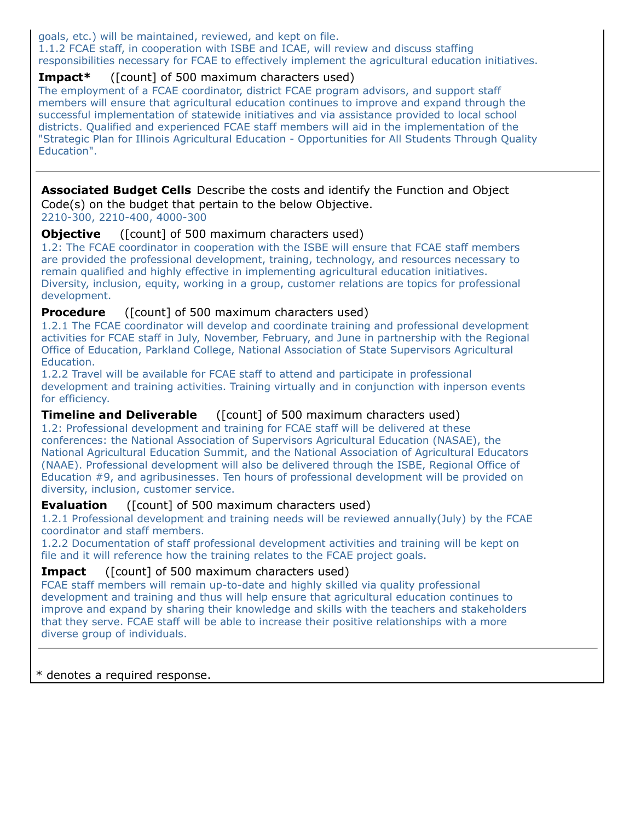goals, etc.) will be maintained, reviewed, and kept on file.

1.1.2 FCAE staff, in cooperation with ISBE and ICAE, will review and discuss staffing responsibilities necessary for FCAE to effectively implement the agricultural education initiatives.

## **Impact\*** ([count] of 500 maximum characters used)

The employment of a FCAE coordinator, district FCAE program advisors, and support staff members will ensure that agricultural education continues to improve and expand through the successful implementation of statewide initiatives and via assistance provided to local school districts. Qualified and experienced FCAE staff members will aid in the implementation of the "Strategic Plan for Illinois Agricultural Education - Opportunities for All Students Through Quality Education".

# **Associated Budget Cells** Describe the costs and identify the Function and Object Code(s) on the budget that pertain to the below Objective.

2210-300, 2210-400, 4000-300

### **Objective** ([count] of 500 maximum characters used)

1.2: The FCAE coordinator in cooperation with the ISBE will ensure that FCAE staff members are provided the professional development, training, technology, and resources necessary to remain qualified and highly effective in implementing agricultural education initiatives. Diversity, inclusion, equity, working in a group, customer relations are topics for professional development.

### **Procedure** ([count] of 500 maximum characters used)

1.2.1 The FCAE coordinator will develop and coordinate training and professional development activities for FCAE staff in July, November, February, and June in partnership with the Regional Office of Education, Parkland College, National Association of State Supervisors Agricultural Education.

1.2.2 Travel will be available for FCAE staff to attend and participate in professional development and training activities. Training virtually and in conjunction with inperson events for efficiency.

## **Timeline and Deliverable** ([count] of 500 maximum characters used)

1.2: Professional development and training for FCAE staff will be delivered at these conferences: the National Association of Supervisors Agricultural Education (NASAE), the National Agricultural Education Summit, and the National Association of Agricultural Educators (NAAE). Professional development will also be delivered through the ISBE, Regional Office of Education #9, and agribusinesses. Ten hours of professional development will be provided on diversity, inclusion, customer service.

## **Evaluation** ([count] of 500 maximum characters used)

1.2.1 Professional development and training needs will be reviewed annually(July) by the FCAE coordinator and staff members.

1.2.2 Documentation of staff professional development activities and training will be kept on file and it will reference how the training relates to the FCAE project goals.

## **Impact** ([count] of 500 maximum characters used)

FCAE staff members will remain up-to-date and highly skilled via quality professional development and training and thus will help ensure that agricultural education continues to improve and expand by sharing their knowledge and skills with the teachers and stakeholders that they serve. FCAE staff will be able to increase their positive relationships with a more diverse group of individuals.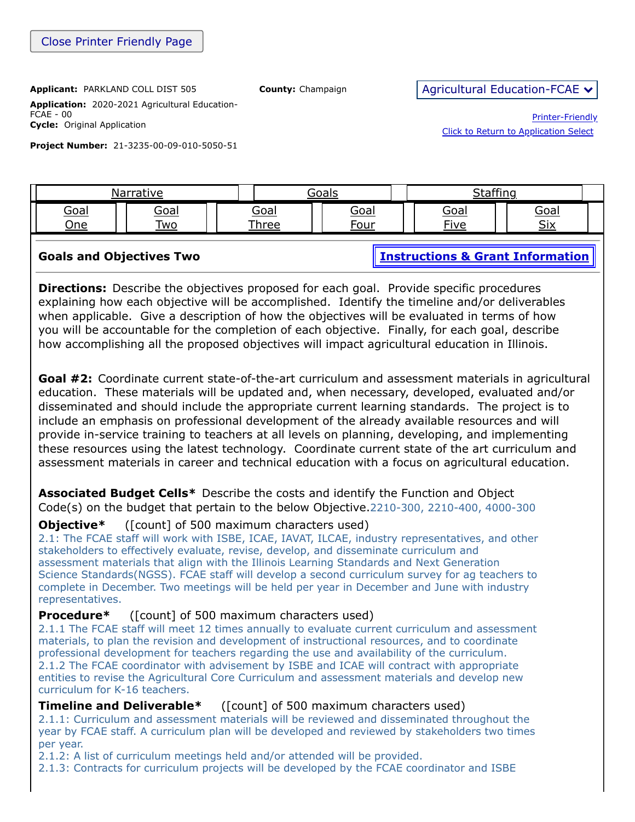**Application:** 2020-2021 Agricultural Education-FCAE - 00 **Cycle:** Original Application

**Project Number:** 21-3235-00-09-010-5050-51

Printer-Friendly [Click to Return to Application Select](https://apps.isbe.net/eGrant_Web/StaticPages/ApplicationSelect.aspx)

[Goal](https://apps.isbe.net/eGrant_Web/ApplicationShell.aspx?DisplayName=Goal%20One) One [Goal](https://apps.isbe.net/eGrant_Web/ApplicationShell.aspx?DisplayName=Goal%20Two) Two Goal [Three](https://apps.isbe.net/eGrant_Web/ApplicationShell.aspx?DisplayName=Goal%20Three) [Goal](https://apps.isbe.net/eGrant_Web/ApplicationShell.aspx?DisplayName=Goal%20Four) Four [Goal](https://apps.isbe.net/eGrant_Web/ApplicationShell.aspx?DisplayName=Goal%20Five) Five [Goal](https://apps.isbe.net/eGrant_Web/ApplicationShell.aspx?DisplayName=Goal%20Six) Six **Goals and Objectives Two [Instructions & Grant Information](ftp://help.isbe.net/webapps/eGMS/2021/AgEdInstructionsFCAE.pdf) Directions:** Describe the objectives proposed for each goal. Provide specific procedures explaining how each objective will be accomplished. Identify the timeline and/or deliverables when applicable. Give a description of how the objectives will be evaluated in terms of how you will be accountable for the completion of each objective. Finally, for each goal, describe how accomplishing all the proposed objectives will impact agricultural education in Illinois. **Goal #2:** Coordinate current state-of-the-art curriculum and assessment materials in agricultural education. These materials will be updated and, when necessary, developed, evaluated and/or disseminated and should include the appropriate current learning standards. The project is to include an emphasis on professional development of the already available resources and will

[Narrative](https://apps.isbe.net/eGrant_Web/ApplicationShell.aspx?DisplayName=Project%20Narrative) 1 | Goals | [Staffing](https://apps.isbe.net/eGrant_Web/ApplicationShell.aspx?DisplayName=Staffing)

provide in-service training to teachers at all levels on planning, developing, and implementing these resources using the latest technology. Coordinate current state of the art curriculum and assessment materials in career and technical education with a focus on agricultural education.

**Associated Budget Cells\*** Describe the costs and identify the Function and Object Code(s) on the budget that pertain to the below Objective.2210-300, 2210-400, 4000-300

## **Objective**\* ([count] of 500 maximum characters used)

2.1: The FCAE staff will work with ISBE, ICAE, IAVAT, ILCAE, industry representatives, and other stakeholders to effectively evaluate, revise, develop, and disseminate curriculum and assessment materials that align with the Illinois Learning Standards and Next Generation Science Standards(NGSS). FCAE staff will develop a second curriculum survey for ag teachers to complete in December. Two meetings will be held per year in December and June with industry representatives.

## **Procedure\*** ([count] of 500 maximum characters used)

2.1.1 The FCAE staff will meet 12 times annually to evaluate current curriculum and assessment materials, to plan the revision and development of instructional resources, and to coordinate professional development for teachers regarding the use and availability of the curriculum. 2.1.2 The FCAE coordinator with advisement by ISBE and ICAE will contract with appropriate entities to revise the Agricultural Core Curriculum and assessment materials and develop new curriculum for K-16 teachers.

## **Timeline and Deliverable\*** ([count] of 500 maximum characters used)

2.1.1: Curriculum and assessment materials will be reviewed and disseminated throughout the year by FCAE staff. A curriculum plan will be developed and reviewed by stakeholders two times per year.

2.1.2: A list of curriculum meetings held and/or attended will be provided.

2.1.3: Contracts for curriculum projects will be developed by the FCAE coordinator and ISBE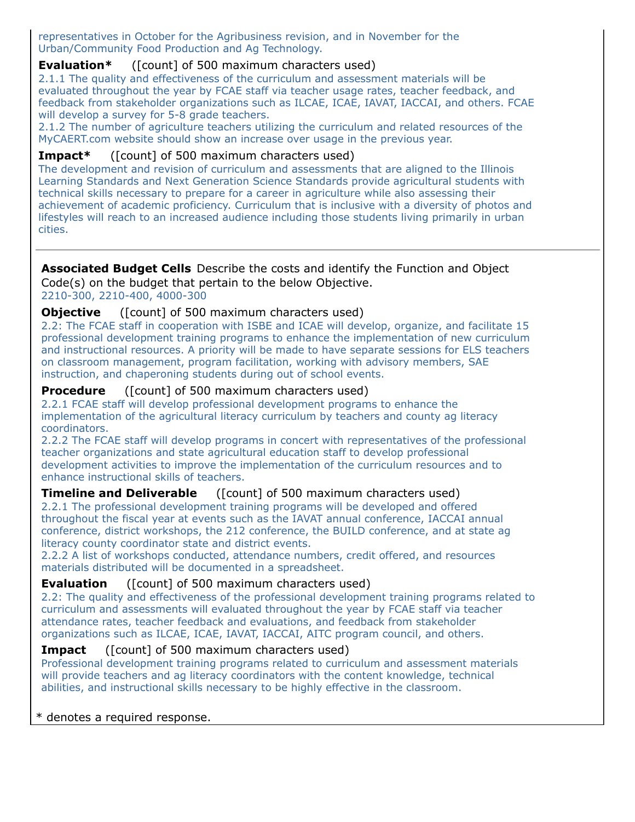representatives in October for the Agribusiness revision, and in November for the Urban/Community Food Production and Ag Technology.

### **Evaluation\*** ([count] of 500 maximum characters used)

2.1.1 The quality and effectiveness of the curriculum and assessment materials will be evaluated throughout the year by FCAE staff via teacher usage rates, teacher feedback, and feedback from stakeholder organizations such as ILCAE, ICAE, IAVAT, IACCAI, and others. FCAE will develop a survey for 5-8 grade teachers.

2.1.2 The number of agriculture teachers utilizing the curriculum and related resources of the MyCAERT.com website should show an increase over usage in the previous year.

#### **Impact\*** ([count] of 500 maximum characters used)

The development and revision of curriculum and assessments that are aligned to the Illinois Learning Standards and Next Generation Science Standards provide agricultural students with technical skills necessary to prepare for a career in agriculture while also assessing their achievement of academic proficiency. Curriculum that is inclusive with a diversity of photos and lifestyles will reach to an increased audience including those students living primarily in urban cities.

#### **Associated Budget Cells** Describe the costs and identify the Function and Object Code(s) on the budget that pertain to the below Objective.

2210-300, 2210-400, 4000-300

#### **Objective** ([count] of 500 maximum characters used)

2.2: The FCAE staff in cooperation with ISBE and ICAE will develop, organize, and facilitate 15 professional development training programs to enhance the implementation of new curriculum and instructional resources. A priority will be made to have separate sessions for ELS teachers on classroom management, program facilitation, working with advisory members, SAE instruction, and chaperoning students during out of school events.

#### **Procedure** ([count] of 500 maximum characters used)

2.2.1 FCAE staff will develop professional development programs to enhance the implementation of the agricultural literacy curriculum by teachers and county ag literacy coordinators.

2.2.2 The FCAE staff will develop programs in concert with representatives of the professional teacher organizations and state agricultural education staff to develop professional development activities to improve the implementation of the curriculum resources and to enhance instructional skills of teachers.

#### **Timeline and Deliverable** ([count] of 500 maximum characters used)

2.2.1 The professional development training programs will be developed and offered throughout the fiscal year at events such as the IAVAT annual conference, IACCAI annual conference, district workshops, the 212 conference, the BUILD conference, and at state ag literacy county coordinator state and district events.

2.2.2 A list of workshops conducted, attendance numbers, credit offered, and resources materials distributed will be documented in a spreadsheet.

#### **Evaluation** ([count] of 500 maximum characters used)

2.2: The quality and effectiveness of the professional development training programs related to curriculum and assessments will evaluated throughout the year by FCAE staff via teacher attendance rates, teacher feedback and evaluations, and feedback from stakeholder organizations such as ILCAE, ICAE, IAVAT, IACCAI, AITC program council, and others.

#### **Impact** ([count] of 500 maximum characters used)

Professional development training programs related to curriculum and assessment materials will provide teachers and ag literacy coordinators with the content knowledge, technical abilities, and instructional skills necessary to be highly effective in the classroom.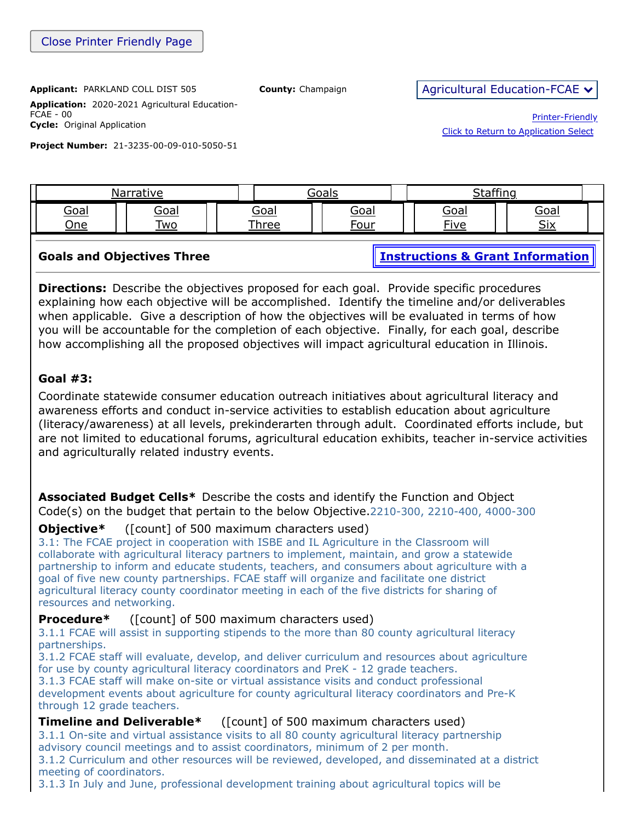[Click to Return to Application Select](https://apps.isbe.net/eGrant_Web/StaticPages/ApplicationSelect.aspx)

Printer-Friendly

**Application:** 2020-2021 Agricultural Education-FCAE - 00 **Cycle:** Original Application

**Project Number:** 21-3235-00-09-010-5050-51

[Goal](https://apps.isbe.net/eGrant_Web/ApplicationShell.aspx?DisplayName=Goal%20One) One [Goal](https://apps.isbe.net/eGrant_Web/ApplicationShell.aspx?DisplayName=Goal%20Two) Two Goal [Three](https://apps.isbe.net/eGrant_Web/ApplicationShell.aspx?DisplayName=Goal%20Three) [Goal](https://apps.isbe.net/eGrant_Web/ApplicationShell.aspx?DisplayName=Goal%20Four) Four [Goal](https://apps.isbe.net/eGrant_Web/ApplicationShell.aspx?DisplayName=Goal%20Five) Five [Goal](https://apps.isbe.net/eGrant_Web/ApplicationShell.aspx?DisplayName=Goal%20Six) Six **Goals and Objectives Three [Instructions & Grant Information](ftp://help.isbe.net/webapps/eGMS/2021/AgEdInstructionsFCAE.pdf) Directions:** Describe the objectives proposed for each goal. Provide specific procedures explaining how each objective will be accomplished. Identify the timeline and/or deliverables when applicable. Give a description of how the objectives will be evaluated in terms of how you will be accountable for the completion of each objective. Finally, for each goal, describe how accomplishing all the proposed objectives will impact agricultural education in Illinois. **Goal #3:** Coordinate statewide consumer education outreach initiatives about agricultural literacy and

[Narrative](https://apps.isbe.net/eGrant_Web/ApplicationShell.aspx?DisplayName=Project%20Narrative) 1 | Goals | [Staffing](https://apps.isbe.net/eGrant_Web/ApplicationShell.aspx?DisplayName=Staffing)

awareness efforts and conduct in-service activities to establish education about agriculture (literacy/awareness) at all levels, prekinderarten through adult. Coordinated efforts include, but are not limited to educational forums, agricultural education exhibits, teacher in-service activities and agriculturally related industry events.

**Associated Budget Cells\*** Describe the costs and identify the Function and Object Code(s) on the budget that pertain to the below Objective.2210-300, 2210-400, 4000-300

## **Objective\*** ([count] of 500 maximum characters used)

3.1: The FCAE project in cooperation with ISBE and IL Agriculture in the Classroom will collaborate with agricultural literacy partners to implement, maintain, and grow a statewide partnership to inform and educate students, teachers, and consumers about agriculture with a goal of five new county partnerships. FCAE staff will organize and facilitate one district agricultural literacy county coordinator meeting in each of the five districts for sharing of resources and networking.

## **Procedure\*** ([count] of 500 maximum characters used)

3.1.1 FCAE will assist in supporting stipends to the more than 80 county agricultural literacy partnerships.

3.1.2 FCAE staff will evaluate, develop, and deliver curriculum and resources about agriculture for use by county agricultural literacy coordinators and PreK - 12 grade teachers. 3.1.3 FCAE staff will make on-site or virtual assistance visits and conduct professional

development events about agriculture for county agricultural literacy coordinators and Pre-K through 12 grade teachers.

## **Timeline and Deliverable\*** ([count] of 500 maximum characters used)

3.1.1 On-site and virtual assistance visits to all 80 county agricultural literacy partnership advisory council meetings and to assist coordinators, minimum of 2 per month.

3.1.2 Curriculum and other resources will be reviewed, developed, and disseminated at a district meeting of coordinators.

3.1.3 In July and June, professional development training about agricultural topics will be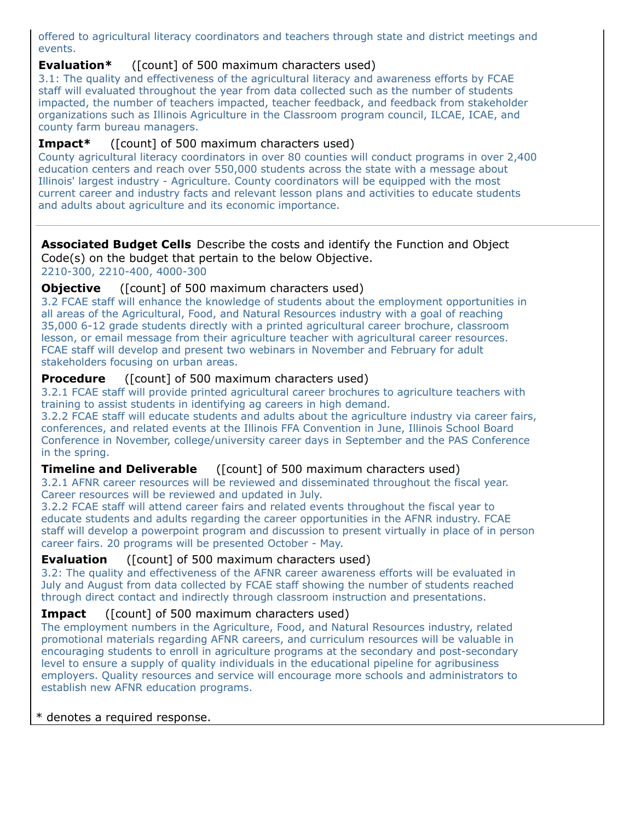offered to agricultural literacy coordinators and teachers through state and district meetings and events.

### **Evaluation\*** ([count] of 500 maximum characters used)

3.1: The quality and effectiveness of the agricultural literacy and awareness efforts by FCAE staff will evaluated throughout the year from data collected such as the number of students impacted, the number of teachers impacted, teacher feedback, and feedback from stakeholder organizations such as Illinois Agriculture in the Classroom program council, ILCAE, ICAE, and county farm bureau managers.

### **Impact\*** ([count] of 500 maximum characters used)

County agricultural literacy coordinators in over 80 counties will conduct programs in over 2,400 education centers and reach over 550,000 students across the state with a message about Illinois' largest industry - Agriculture. County coordinators will be equipped with the most current career and industry facts and relevant lesson plans and activities to educate students and adults about agriculture and its economic importance.

# **Associated Budget Cells** Describe the costs and identify the Function and Object

Code(s) on the budget that pertain to the below Objective.

2210-300, 2210-400, 4000-300

### **Objective** ([count] of 500 maximum characters used)

3.2 FCAE staff will enhance the knowledge of students about the employment opportunities in all areas of the Agricultural, Food, and Natural Resources industry with a goal of reaching 35,000 6-12 grade students directly with a printed agricultural career brochure, classroom lesson, or email message from their agriculture teacher with agricultural career resources. FCAE staff will develop and present two webinars in November and February for adult stakeholders focusing on urban areas.

### **Procedure** ([count] of 500 maximum characters used)

3.2.1 FCAE staff will provide printed agricultural career brochures to agriculture teachers with training to assist students in identifying ag careers in high demand.

3.2.2 FCAE staff will educate students and adults about the agriculture industry via career fairs, conferences, and related events at the Illinois FFA Convention in June, Illinois School Board Conference in November, college/university career days in September and the PAS Conference in the spring.

## **Timeline and Deliverable** ([count] of 500 maximum characters used)

3.2.1 AFNR career resources will be reviewed and disseminated throughout the fiscal year. Career resources will be reviewed and updated in July.

3.2.2 FCAE staff will attend career fairs and related events throughout the fiscal year to educate students and adults regarding the career opportunities in the AFNR industry. FCAE staff will develop a powerpoint program and discussion to present virtually in place of in person career fairs. 20 programs will be presented October - May.

## **Evaluation** ([count] of 500 maximum characters used)

3.2: The quality and effectiveness of the AFNR career awareness efforts will be evaluated in July and August from data collected by FCAE staff showing the number of students reached through direct contact and indirectly through classroom instruction and presentations.

#### **Impact** ([count] of 500 maximum characters used)

The employment numbers in the Agriculture, Food, and Natural Resources industry, related promotional materials regarding AFNR careers, and curriculum resources will be valuable in encouraging students to enroll in agriculture programs at the secondary and post-secondary level to ensure a supply of quality individuals in the educational pipeline for agribusiness employers. Quality resources and service will encourage more schools and administrators to establish new AFNR education programs.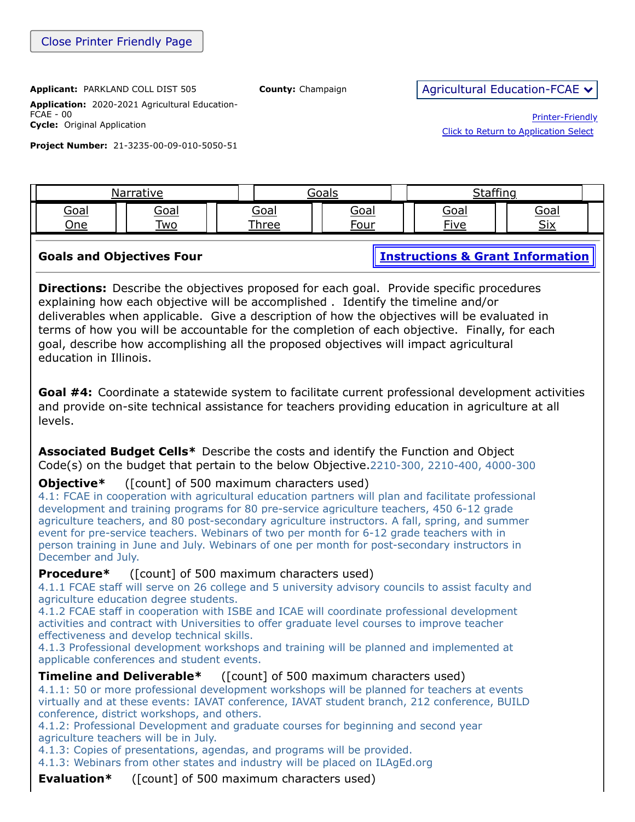**Application:** 2020-2021 Agricultural Education-FCAE - 00 **Cycle:** Original Application

**Project Number:** 21-3235-00-09-010-5050-51

Printer-Friendly [Click to Return to Application Select](https://apps.isbe.net/eGrant_Web/StaticPages/ApplicationSelect.aspx)

[Goal](https://apps.isbe.net/eGrant_Web/ApplicationShell.aspx?DisplayName=Goal%20One) One [Goal](https://apps.isbe.net/eGrant_Web/ApplicationShell.aspx?DisplayName=Goal%20Two) Two Goal [Three](https://apps.isbe.net/eGrant_Web/ApplicationShell.aspx?DisplayName=Goal%20Three) [Goal](https://apps.isbe.net/eGrant_Web/ApplicationShell.aspx?DisplayName=Goal%20Four) Four [Goal](https://apps.isbe.net/eGrant_Web/ApplicationShell.aspx?DisplayName=Goal%20Five) Five [Goal](https://apps.isbe.net/eGrant_Web/ApplicationShell.aspx?DisplayName=Goal%20Six) Six **Goals and Objectives Four [Instructions & Grant Information](ftp://help.isbe.net/webapps/eGMS/2021/AgEdInstructionsFCAE.pdf) Directions:** Describe the objectives proposed for each goal. Provide specific procedures explaining how each objective will be accomplished . Identify the timeline and/or deliverables when applicable. Give a description of how the objectives will be evaluated in

[Narrative](https://apps.isbe.net/eGrant_Web/ApplicationShell.aspx?DisplayName=Project%20Narrative) 1 | Goals | [Staffing](https://apps.isbe.net/eGrant_Web/ApplicationShell.aspx?DisplayName=Staffing)

terms of how you will be accountable for the completion of each objective. Finally, for each goal, describe how accomplishing all the proposed objectives will impact agricultural education in Illinois.

**Goal #4:** Coordinate a statewide system to facilitate current professional development activities and provide on-site technical assistance for teachers providing education in agriculture at all levels.

**Associated Budget Cells\*** Describe the costs and identify the Function and Object Code(s) on the budget that pertain to the below Objective.2210-300, 2210-400, 4000-300

**Objective**\* ([count] of 500 maximum characters used)

4.1: FCAE in cooperation with agricultural education partners will plan and facilitate professional development and training programs for 80 pre-service agriculture teachers, 450 6-12 grade agriculture teachers, and 80 post-secondary agriculture instructors. A fall, spring, and summer event for pre-service teachers. Webinars of two per month for 6-12 grade teachers with in person training in June and July. Webinars of one per month for post-secondary instructors in December and July.

**Procedure\*** ([count] of 500 maximum characters used)

4.1.1 FCAE staff will serve on 26 college and 5 university advisory councils to assist faculty and agriculture education degree students.

4.1.2 FCAE staff in cooperation with ISBE and ICAE will coordinate professional development activities and contract with Universities to offer graduate level courses to improve teacher effectiveness and develop technical skills.

4.1.3 Professional development workshops and training will be planned and implemented at applicable conferences and student events.

**Timeline and Deliverable\*** ([count] of 500 maximum characters used)

4.1.1: 50 or more professional development workshops will be planned for teachers at events virtually and at these events: IAVAT conference, IAVAT student branch, 212 conference, BUILD conference, district workshops, and others.

4.1.2: Professional Development and graduate courses for beginning and second year agriculture teachers will be in July.

4.1.3: Copies of presentations, agendas, and programs will be provided.

4.1.3: Webinars from other states and industry will be placed on ILAgEd.org

**Evaluation\*** ([count] of 500 maximum characters used)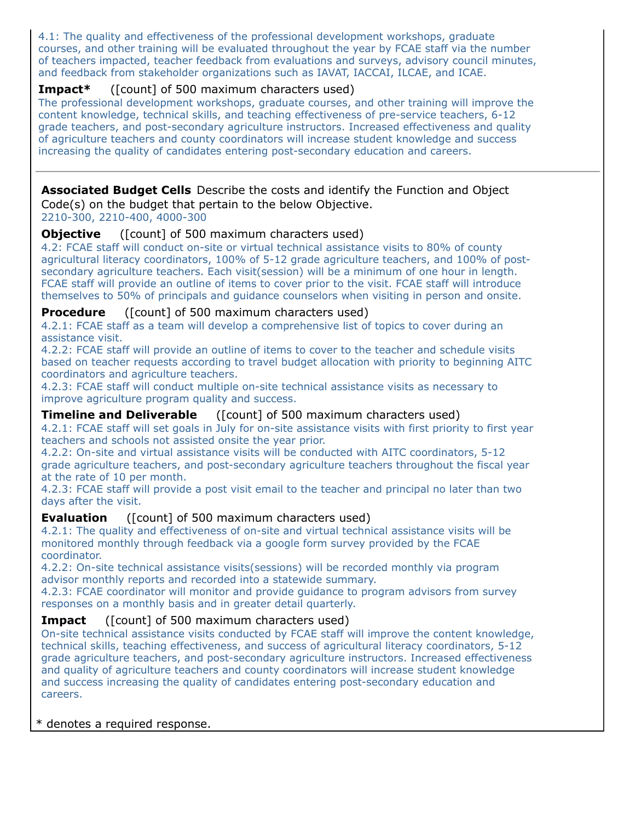4.1: The quality and effectiveness of the professional development workshops, graduate courses, and other training will be evaluated throughout the year by FCAE staff via the number of teachers impacted, teacher feedback from evaluations and surveys, advisory council minutes, and feedback from stakeholder organizations such as IAVAT, IACCAI, ILCAE, and ICAE.

## **Impact\*** ([count] of 500 maximum characters used)

The professional development workshops, graduate courses, and other training will improve the content knowledge, technical skills, and teaching effectiveness of pre-service teachers, 6-12 grade teachers, and post-secondary agriculture instructors. Increased effectiveness and quality of agriculture teachers and county coordinators will increase student knowledge and success increasing the quality of candidates entering post-secondary education and careers.

#### **Associated Budget Cells** Describe the costs and identify the Function and Object Code(s) on the budget that pertain to the below Objective.

2210-300, 2210-400, 4000-300

### **Objective** ([count] of 500 maximum characters used)

4.2: FCAE staff will conduct on-site or virtual technical assistance visits to 80% of county agricultural literacy coordinators, 100% of 5-12 grade agriculture teachers, and 100% of postsecondary agriculture teachers. Each visit(session) will be a minimum of one hour in length. FCAE staff will provide an outline of items to cover prior to the visit. FCAE staff will introduce themselves to 50% of principals and guidance counselors when visiting in person and onsite.

### **Procedure** ([count] of 500 maximum characters used)

4.2.1: FCAE staff as a team will develop a comprehensive list of topics to cover during an assistance visit.

4.2.2: FCAE staff will provide an outline of items to cover to the teacher and schedule visits based on teacher requests according to travel budget allocation with priority to beginning AITC coordinators and agriculture teachers.

4.2.3: FCAE staff will conduct multiple on-site technical assistance visits as necessary to improve agriculture program quality and success.

#### **Timeline and Deliverable** ([count] of 500 maximum characters used)

4.2.1: FCAE staff will set goals in July for on-site assistance visits with first priority to first year teachers and schools not assisted onsite the year prior.

4.2.2: On-site and virtual assistance visits will be conducted with AITC coordinators, 5-12 grade agriculture teachers, and post-secondary agriculture teachers throughout the fiscal year at the rate of 10 per month.

4.2.3: FCAE staff will provide a post visit email to the teacher and principal no later than two days after the visit.

#### **Evaluation** ([count] of 500 maximum characters used)

4.2.1: The quality and effectiveness of on-site and virtual technical assistance visits will be monitored monthly through feedback via a google form survey provided by the FCAE coordinator.

4.2.2: On-site technical assistance visits(sessions) will be recorded monthly via program advisor monthly reports and recorded into a statewide summary.

4.2.3: FCAE coordinator will monitor and provide guidance to program advisors from survey responses on a monthly basis and in greater detail quarterly.

#### **Impact** ([count] of 500 maximum characters used)

On-site technical assistance visits conducted by FCAE staff will improve the content knowledge, technical skills, teaching effectiveness, and success of agricultural literacy coordinators, 5-12 grade agriculture teachers, and post-secondary agriculture instructors. Increased effectiveness and quality of agriculture teachers and county coordinators will increase student knowledge and success increasing the quality of candidates entering post-secondary education and careers.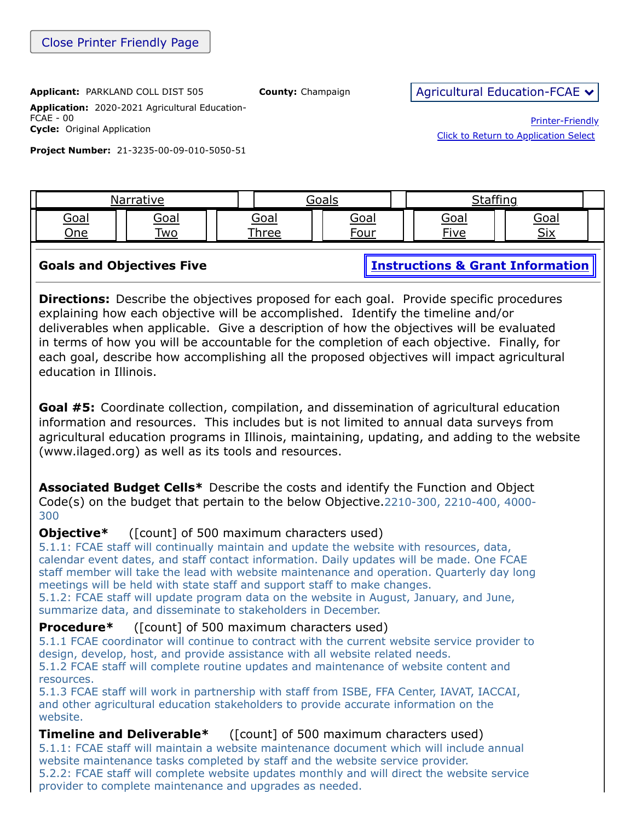**Application:** 2020-2021 Agricultural Education-FCAE - 00 **Cycle:** Original Application

**Project Number:** 21-3235-00-09-010-5050-51

Printer-Friendly [Click to Return to Application Select](https://apps.isbe.net/eGrant_Web/StaticPages/ApplicationSelect.aspx)

| arrativo                   |                           |                     | $\sim$ 0.210 $\sim$ | $\sim$ $\sim$       |                                |  |
|----------------------------|---------------------------|---------------------|---------------------|---------------------|--------------------------------|--|
| <u>Goal</u><br><u> One</u> | <u>Goal</u><br><u> W0</u> | <u>Goal</u><br>hree | <u>Goal</u><br>our- | <u>Goal</u><br>Tive | <u>Goal</u><br><b>Civ</b><br>◡ |  |
|                            |                           |                     |                     |                     |                                |  |

**Goals and Objectives Five [Instructions & Grant Information](ftp://help.isbe.net/webapps/eGMS/2021/AgEdInstructionsFCAE.pdf)** 

**Directions:** Describe the objectives proposed for each goal. Provide specific procedures explaining how each objective will be accomplished. Identify the timeline and/or deliverables when applicable. Give a description of how the objectives will be evaluated in terms of how you will be accountable for the completion of each objective. Finally, for each goal, describe how accomplishing all the proposed objectives will impact agricultural education in Illinois.

**Goal #5:** Coordinate collection, compilation, and dissemination of agricultural education information and resources. This includes but is not limited to annual data surveys from agricultural education programs in Illinois, maintaining, updating, and adding to the website (www.ilaged.org) as well as its tools and resources.

**Associated Budget Cells\*** Describe the costs and identify the Function and Object Code(s) on the budget that pertain to the below Objective.2210-300, 2210-400, 4000- 300

# **Objective\*** ([count] of 500 maximum characters used)

5.1.1: FCAE staff will continually maintain and update the website with resources, data, calendar event dates, and staff contact information. Daily updates will be made. One FCAE staff member will take the lead with website maintenance and operation. Quarterly day long meetings will be held with state staff and support staff to make changes.

5.1.2: FCAE staff will update program data on the website in August, January, and June, summarize data, and disseminate to stakeholders in December.

# **Procedure\*** ([count] of 500 maximum characters used)

5.1.1 FCAE coordinator will continue to contract with the current website service provider to design, develop, host, and provide assistance with all website related needs.

5.1.2 FCAE staff will complete routine updates and maintenance of website content and resources.

5.1.3 FCAE staff will work in partnership with staff from ISBE, FFA Center, IAVAT, IACCAI, and other agricultural education stakeholders to provide accurate information on the website.

# **Timeline and Deliverable**\* ([count] of 500 maximum characters used)

5.1.1: FCAE staff will maintain a website maintenance document which will include annual website maintenance tasks completed by staff and the website service provider. 5.2.2: FCAE staff will complete website updates monthly and will direct the website service provider to complete maintenance and upgrades as needed.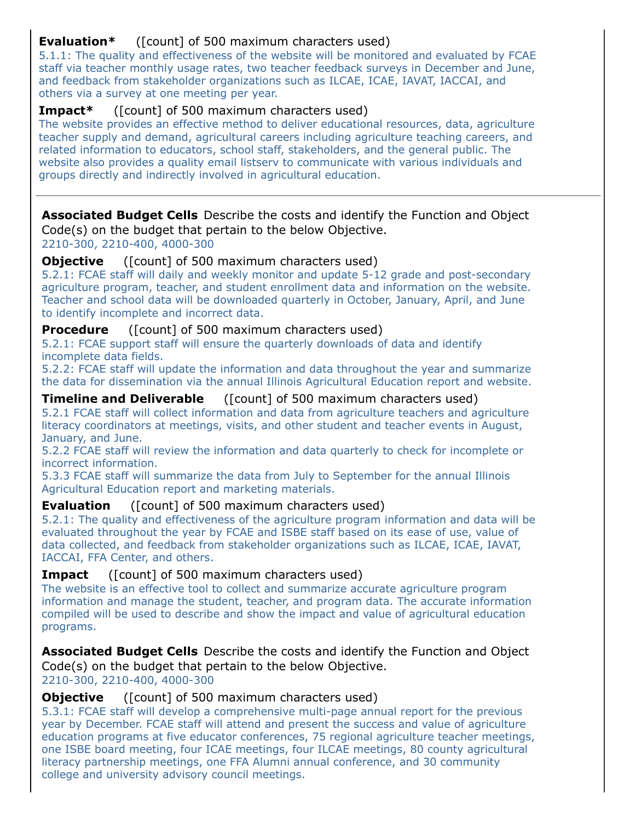# **Evaluation\*** ([count] of 500 maximum characters used)

5.1.1: The quality and effectiveness of the website will be monitored and evaluated by FCAE staff via teacher monthly usage rates, two teacher feedback surveys in December and June, and feedback from stakeholder organizations such as ILCAE, ICAE, IAVAT, IACCAI, and others via a survey at one meeting per year.

# **Impact\*** ([count] of 500 maximum characters used)

The website provides an effective method to deliver educational resources, data, agriculture teacher supply and demand, agricultural careers including agriculture teaching careers, and related information to educators, school staff, stakeholders, and the general public. The website also provides a quality email listserv to communicate with various individuals and groups directly and indirectly involved in agricultural education.

**Associated Budget Cells** Describe the costs and identify the Function and Object Code(s) on the budget that pertain to the below Objective. 2210-300, 2210-400, 4000-300

**Objective** ([count] of 500 maximum characters used)

5.2.1: FCAE staff will daily and weekly monitor and update 5-12 grade and post-secondary agriculture program, teacher, and student enrollment data and information on the website. Teacher and school data will be downloaded quarterly in October, January, April, and June to identify incomplete and incorrect data.

**Procedure** ([count] of 500 maximum characters used)

5.2.1: FCAE support staff will ensure the quarterly downloads of data and identify incomplete data fields.

5.2.2: FCAE staff will update the information and data throughout the year and summarize the data for dissemination via the annual Illinois Agricultural Education report and website.

**Timeline and Deliverable** ([count] of 500 maximum characters used) 5.2.1 FCAE staff will collect information and data from agriculture teachers and agriculture literacy coordinators at meetings, visits, and other student and teacher events in August, January, and June.

5.2.2 FCAE staff will review the information and data quarterly to check for incomplete or incorrect information.

5.3.3 FCAE staff will summarize the data from July to September for the annual Illinois Agricultural Education report and marketing materials.

# **Evaluation** ([count] of 500 maximum characters used)

5.2.1: The quality and effectiveness of the agriculture program information and data will be evaluated throughout the year by FCAE and ISBE staff based on its ease of use, value of data collected, and feedback from stakeholder organizations such as ILCAE, ICAE, IAVAT, IACCAI, FFA Center, and others.

# **Impact** ([count] of 500 maximum characters used)

The website is an effective tool to collect and summarize accurate agriculture program information and manage the student, teacher, and program data. The accurate information compiled will be used to describe and show the impact and value of agricultural education programs.

**Associated Budget Cells** Describe the costs and identify the Function and Object Code(s) on the budget that pertain to the below Objective.

2210-300, 2210-400, 4000-300

## **Objective** ([count] of 500 maximum characters used)

5.3.1: FCAE staff will develop a comprehensive multi-page annual report for the previous year by December. FCAE staff will attend and present the success and value of agriculture education programs at five educator conferences, 75 regional agriculture teacher meetings, one ISBE board meeting, four ICAE meetings, four ILCAE meetings, 80 county agricultural literacy partnership meetings, one FFA Alumni annual conference, and 30 community college and university advisory council meetings.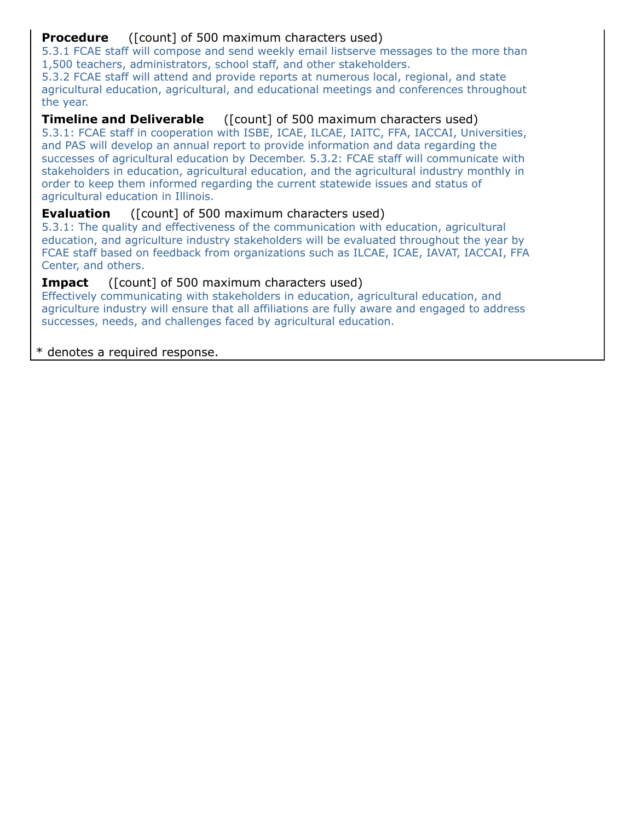# **Procedure** ([count] of 500 maximum characters used)

5.3.1 FCAE staff will compose and send weekly email listserve messages to the more than 1,500 teachers, administrators, school staff, and other stakeholders.

5.3.2 FCAE staff will attend and provide reports at numerous local, regional, and state agricultural education, agricultural, and educational meetings and conferences throughout the year.

# **Timeline and Deliverable** ([count] of 500 maximum characters used)

5.3.1: FCAE staff in cooperation with ISBE, ICAE, ILCAE, IAITC, FFA, IACCAI, Universities, and PAS will develop an annual report to provide information and data regarding the successes of agricultural education by December. 5.3.2: FCAE staff will communicate with stakeholders in education, agricultural education, and the agricultural industry monthly in order to keep them informed regarding the current statewide issues and status of agricultural education in Illinois.

# **Evaluation** ([count] of 500 maximum characters used)

5.3.1: The quality and effectiveness of the communication with education, agricultural education, and agriculture industry stakeholders will be evaluated throughout the year by FCAE staff based on feedback from organizations such as ILCAE, ICAE, IAVAT, IACCAI, FFA Center, and others.

# **Impact** ([count] of 500 maximum characters used)

Effectively communicating with stakeholders in education, agricultural education, and agriculture industry will ensure that all affiliations are fully aware and engaged to address successes, needs, and challenges faced by agricultural education.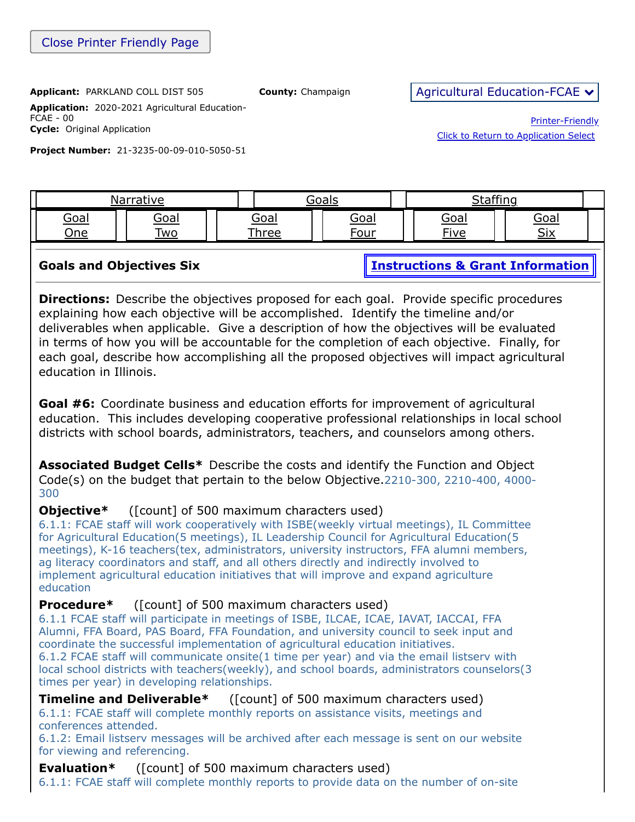**Application:** 2020-2021 Agricultural Education-FCAE - 00 **Cycle:** Original Application

**Project Number:** 21-3235-00-09-010-5050-51

Printer-Friendly [Click to Return to Application Select](https://apps.isbe.net/eGrant_Web/StaticPages/ApplicationSelect.aspx)

| 'ive               |                          |  | $\sim$ 0.0 kg $\sim$       |  |                      | . CC:                      |  |                          |  |
|--------------------|--------------------------|--|----------------------------|--|----------------------|----------------------------|--|--------------------------|--|
| <u>Goai</u><br>)ne | <u>Goai</u><br><b>WO</b> |  | <u>Goal</u><br><b>hree</b> |  | <u>Goal</u><br>חוו∩∙ | <u>Goal</u><br><b>Five</b> |  | <u>Goal</u><br>$\cap$ iv |  |
|                    |                          |  |                            |  |                      |                            |  |                          |  |

**Goals and Objectives Six [Instructions & Grant Information](ftp://help.isbe.net/webapps/eGMS/2021/AgEdInstructionsFCAE.pdf)** 

**Directions:** Describe the objectives proposed for each goal. Provide specific procedures explaining how each objective will be accomplished. Identify the timeline and/or deliverables when applicable. Give a description of how the objectives will be evaluated in terms of how you will be accountable for the completion of each objective. Finally, for each goal, describe how accomplishing all the proposed objectives will impact agricultural education in Illinois.

**Goal #6:** Coordinate business and education efforts for improvement of agricultural education. This includes developing cooperative professional relationships in local school districts with school boards, administrators, teachers, and counselors among others.

**Associated Budget Cells\*** Describe the costs and identify the Function and Object Code(s) on the budget that pertain to the below Objective.2210-300, 2210-400, 4000- 300

# **Objective**\* ([count] of 500 maximum characters used)

6.1.1: FCAE staff will work cooperatively with ISBE(weekly virtual meetings), IL Committee for Agricultural Education(5 meetings), IL Leadership Council for Agricultural Education(5 meetings), K-16 teachers(tex, administrators, university instructors, FFA alumni members, ag literacy coordinators and staff, and all others directly and indirectly involved to implement agricultural education initiatives that will improve and expand agriculture education

# **Procedure**\* ([count] of 500 maximum characters used)

6.1.1 FCAE staff will participate in meetings of ISBE, ILCAE, ICAE, IAVAT, IACCAI, FFA Alumni, FFA Board, PAS Board, FFA Foundation, and university council to seek input and coordinate the successful implementation of agricultural education initiatives. 6.1.2 FCAE staff will communicate onsite(1 time per year) and via the email listserv with local school districts with teachers(weekly), and school boards, administrators counselors(3 times per year) in developing relationships.

**Timeline and Deliverable\*** ([count] of 500 maximum characters used) 6.1.1: FCAE staff will complete monthly reports on assistance visits, meetings and conferences attended.

6.1.2: Email listserv messages will be archived after each message is sent on our website for viewing and referencing.

## **Evaluation\*** ([count] of 500 maximum characters used)

6.1.1: FCAE staff will complete monthly reports to provide data on the number of on-site